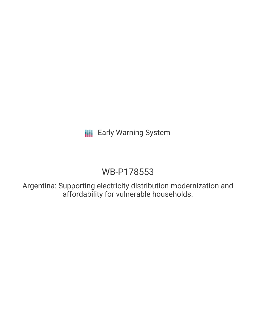# **III** Early Warning System

# WB-P178553

Argentina: Supporting electricity distribution modernization and affordability for vulnerable households.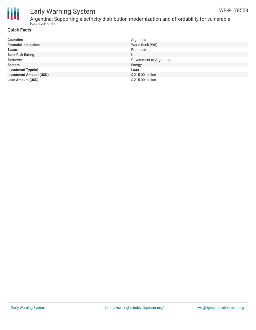



## Early Warning System

Argentina: Supporting electricity distribution modernization and affordability for vulnerable households.

### **Quick Facts**

| <b>Countries</b>               | Argentina               |
|--------------------------------|-------------------------|
| <b>Financial Institutions</b>  | World Bank (WB)         |
| <b>Status</b>                  | Proposed                |
| <b>Bank Risk Rating</b>        | U                       |
| <b>Borrower</b>                | Government of Argentina |
| <b>Sectors</b>                 | Energy                  |
| <b>Investment Type(s)</b>      | Loan                    |
| <b>Investment Amount (USD)</b> | \$215.00 million        |
| <b>Loan Amount (USD)</b>       | \$215.00 million        |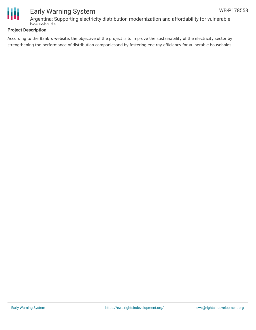

### Early Warning System Argentina: Supporting electricity distribution modernization and affordability for vulnerable households.

### **Project Description**

According to the Bank´s website, the objective of the project is to improve the sustainability of the electricity sector by strengthening the performance of distribution companiesand by fostering ene rgy efficiency for vulnerable households.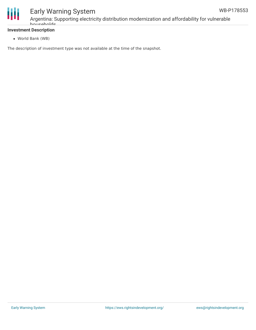



### Early Warning System

Argentina: Supporting electricity distribution modernization and affordability for vulnerable households.

### **Investment Description**

World Bank (WB)

The description of investment type was not available at the time of the snapshot.